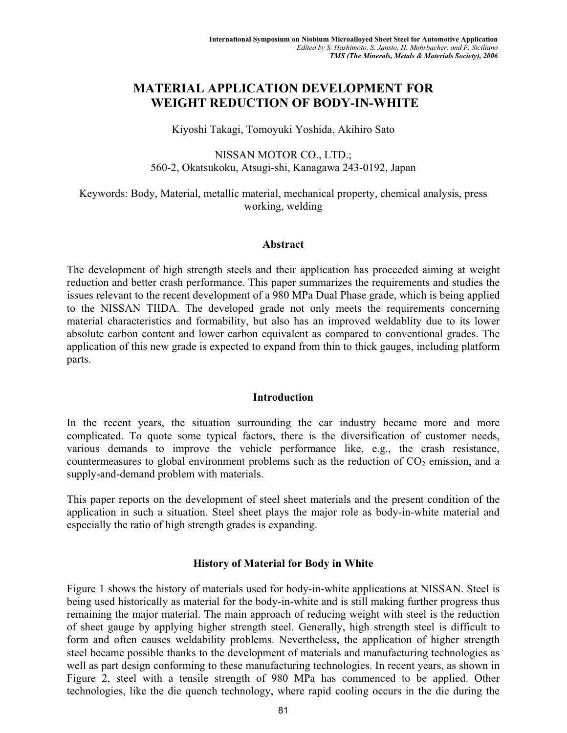# **MATERIAL APPLICATION DEVELOPMENT FOR WEIGHT REDUCTION OF BODY-IN-WHITE**

Kiyoshi Takagi, Tomoyuki Yoshida, Akihiro Sato

NISSAN MOTOR CO., LTD.; 560-2, Okatsukoku, Atsugi-shi, Kanagawa 243-0192, Japan

Keywords: Body, Material, metallic material, mechanical property, chemical analysis, press working, welding

#### **Abstract**

The development of high strength steels and their application has proceeded aiming at weight reduction and better crash performance. This paper summarizes the requirements and studies the issues relevant to the recent development of a 980 MPa Dual Phase grade, which is being applied to the NISSAN TIIDA. The developed grade not only meets the requirements concerning material characteristics and formability, but also has an improved weldablity due to its lower absolute carbon content and lower carbon equivalent as compared to conventional grades. The application of this new grade is expected to expand from thin to thick gauges, including platform parts.

### **Introduction**

In the recent years, the situation surrounding the car industry became more and more complicated. To quote some typical factors, there is the diversification of customer needs, various demands to improve the vehicle performance like, e.g., the crash resistance, countermeasures to global environment problems such as the reduction of  $CO<sub>2</sub>$  emission, and a supply-and-demand problem with materials.

This paper reports on the development of steel sheet materials and the present condition of the application in such a situation. Steel sheet plays the major role as body-in-white material and especially the ratio of high strength grades is expanding.

### **History of Material for Body in White**

Figure 1 shows the history of materials used for body-in-white applications at NISSAN. Steel is being used historically as material for the body-in-white and is still making further progress thus remaining the major material. The main approach of reducing weight with steel is the reduction of sheet gauge by applying higher strength steel. Generally, high strength steel is difficult to form and often causes weldability problems. Nevertheless, the application of higher strength steel became possible thanks to the development of materials and manufacturing technologies as well as part design conforming to these manufacturing technologies. In recent years, as shown in Figure 2, steel with a tensile strength of 980 MPa has commenced to be applied. Other technologies, like the die quench technology, where rapid cooling occurs in the die during the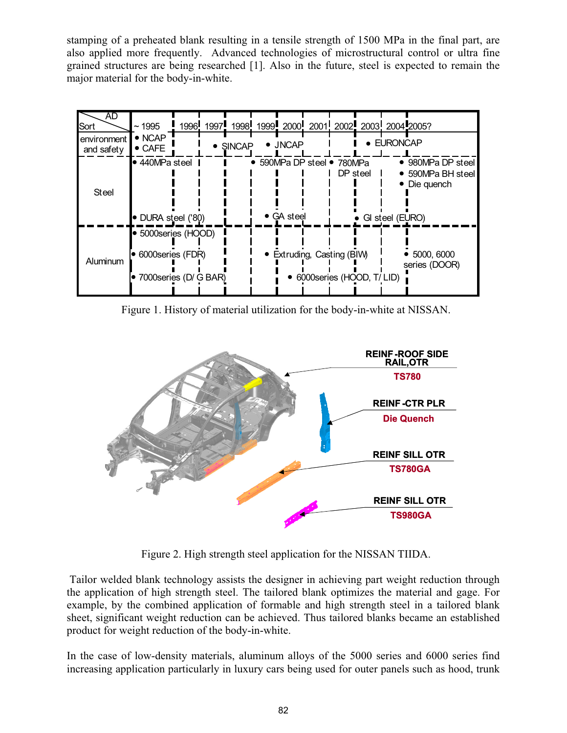stamping of a preheated blank resulting in a tensile strength of 1500 MPa in the final part, are also applied more frequently. Advanced technologies of microstructural control or ultra fine grained structures are being researched [1]. Also in the future, steel is expected to remain the major material for the body-in-white.

| AD<br>Sort                | ~1995                                                             |  | 1996, 1997, 1998, 1999, 2000, 2001, 2002, 2003, 2004, 2005? |                                        |          |                            |                 |                                                      |
|---------------------------|-------------------------------------------------------------------|--|-------------------------------------------------------------|----------------------------------------|----------|----------------------------|-----------------|------------------------------------------------------|
| environment<br>and safety | $\bullet$ NCAP<br>$\bullet$ CAFE                                  |  | <b>SINCAP</b>                                               | $\bullet$ JNCAP                        |          | $\bullet$                  | <b>EURONCAP</b> |                                                      |
| <b>Steel</b>              | $\bullet$ 440MPa steel<br>• DURA steel ('80)                      |  |                                                             | • 590MPa DP steel • 780MPa<br>GA steel | DP steel |                            | GI steel (EURO) | • 980MPa DP steel<br>• 590MPa BH steel<br>Die quench |
| Aluminum                  | ● 5000series (HOOD)<br>6000series (FDR)<br>7000 series (D/ G BAR) |  |                                                             | Extruding, Casting (BIW)               |          | 6000 series (HOOD, T/ LID) |                 | 5000, 6000<br>series (DOOR)                          |

Figure 1. History of material utilization for the body-in-white at NISSAN.



Figure 2. High strength steel application for the NISSAN TIIDA.

 Tailor welded blank technology assists the designer in achieving part weight reduction through the application of high strength steel. The tailored blank optimizes the material and gage. For example, by the combined application of formable and high strength steel in a tailored blank sheet, significant weight reduction can be achieved. Thus tailored blanks became an established product for weight reduction of the body-in-white.

In the case of low-density materials, aluminum alloys of the 5000 series and 6000 series find increasing application particularly in luxury cars being used for outer panels such as hood, trunk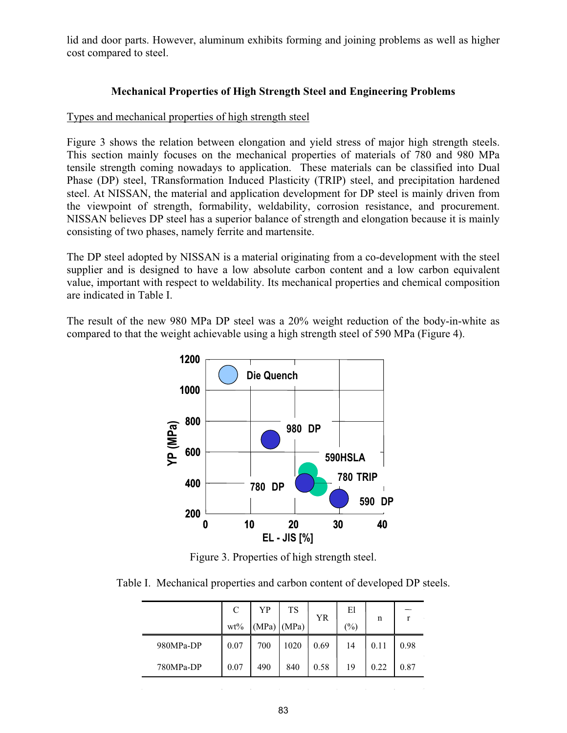lid and door parts. However, aluminum exhibits forming and joining problems as well as higher cost compared to steel.

## **Mechanical Properties of High Strength Steel and Engineering Problems**

### Types and mechanical properties of high strength steel

Figure 3 shows the relation between elongation and yield stress of major high strength steels. This section mainly focuses on the mechanical properties of materials of 780 and 980 MPa tensile strength coming nowadays to application. These materials can be classified into Dual Phase (DP) steel, TRansformation Induced Plasticity (TRIP) steel, and precipitation hardened steel. At NISSAN, the material and application development for DP steel is mainly driven from the viewpoint of strength, formability, weldability, corrosion resistance, and procurement. NISSAN believes DP steel has a superior balance of strength and elongation because it is mainly consisting of two phases, namely ferrite and martensite.

The DP steel adopted by NISSAN is a material originating from a co-development with the steel supplier and is designed to have a low absolute carbon content and a low carbon equivalent value, important with respect to weldability. Its mechanical properties and chemical composition are indicated in Table I.

The result of the new 980 MPa DP steel was a 20% weight reduction of the body-in-white as compared to that the weight achievable using a high strength steel of 590 MPa (Figure 4).



Figure 3. Properties of high strength steel.

Table I. Mechanical properties and carbon content of developed DP steels.

|           | C<br>$wt\%$ | YP<br>$(MPa)$ $(MPa)$ | <b>TS</b> | <b>YR</b> | El<br>$\frac{1}{2}$ | n    | r    |
|-----------|-------------|-----------------------|-----------|-----------|---------------------|------|------|
| 980MPa-DP | 0.07        | 700                   | 1020      | 0.69      | 14                  | 0.11 | 0.98 |
| 780MPa-DP | 0.07        | 490                   | 840       | 0.58      | 19                  | 0.22 | 0.87 |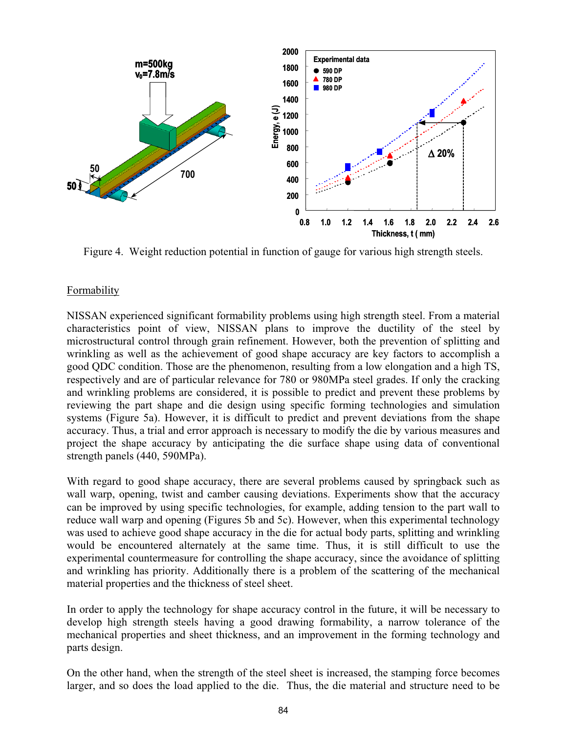

Figure 4. Weight reduction potential in function of gauge for various high strength steels.

## Formability

NISSAN experienced significant formability problems using high strength steel. From a material characteristics point of view, NISSAN plans to improve the ductility of the steel by microstructural control through grain refinement. However, both the prevention of splitting and wrinkling as well as the achievement of good shape accuracy are key factors to accomplish a good QDC condition. Those are the phenomenon, resulting from a low elongation and a high TS, respectively and are of particular relevance for 780 or 980MPa steel grades. If only the cracking and wrinkling problems are considered, it is possible to predict and prevent these problems by reviewing the part shape and die design using specific forming technologies and simulation systems (Figure 5a). However, it is difficult to predict and prevent deviations from the shape accuracy. Thus, a trial and error approach is necessary to modify the die by various measures and project the shape accuracy by anticipating the die surface shape using data of conventional strength panels (440, 590MPa).

With regard to good shape accuracy, there are several problems caused by springback such as wall warp, opening, twist and camber causing deviations. Experiments show that the accuracy can be improved by using specific technologies, for example, adding tension to the part wall to reduce wall warp and opening (Figures 5b and 5c). However, when this experimental technology was used to achieve good shape accuracy in the die for actual body parts, splitting and wrinkling would be encountered alternately at the same time. Thus, it is still difficult to use the experimental countermeasure for controlling the shape accuracy, since the avoidance of splitting and wrinkling has priority. Additionally there is a problem of the scattering of the mechanical material properties and the thickness of steel sheet.

In order to apply the technology for shape accuracy control in the future, it will be necessary to develop high strength steels having a good drawing formability, a narrow tolerance of the mechanical properties and sheet thickness, and an improvement in the forming technology and parts design.

On the other hand, when the strength of the steel sheet is increased, the stamping force becomes larger, and so does the load applied to the die. Thus, the die material and structure need to be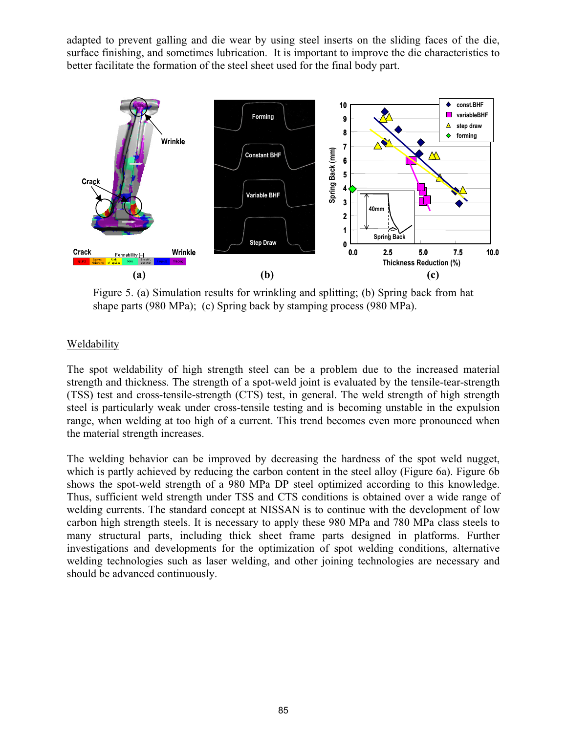adapted to prevent galling and die wear by using steel inserts on the sliding faces of the die, surface finishing, and sometimes lubrication. It is important to improve the die characteristics to better facilitate the formation of the steel sheet used for the final body part.



Figure 5. (a) Simulation results for wrinkling and splitting; (b) Spring back from hat shape parts (980 MPa); (c) Spring back by stamping process (980 MPa).

# Weldability

The spot weldability of high strength steel can be a problem due to the increased material strength and thickness. The strength of a spot-weld joint is evaluated by the tensile-tear-strength (TSS) test and cross-tensile-strength (CTS) test, in general. The weld strength of high strength steel is particularly weak under cross-tensile testing and is becoming unstable in the expulsion range, when welding at too high of a current. This trend becomes even more pronounced when the material strength increases.

The welding behavior can be improved by decreasing the hardness of the spot weld nugget, which is partly achieved by reducing the carbon content in the steel alloy (Figure 6a). Figure 6b shows the spot-weld strength of a 980 MPa DP steel optimized according to this knowledge. Thus, sufficient weld strength under TSS and CTS conditions is obtained over a wide range of welding currents. The standard concept at NISSAN is to continue with the development of low carbon high strength steels. It is necessary to apply these 980 MPa and 780 MPa class steels to many structural parts, including thick sheet frame parts designed in platforms. Further investigations and developments for the optimization of spot welding conditions, alternative welding technologies such as laser welding, and other joining technologies are necessary and should be advanced continuously.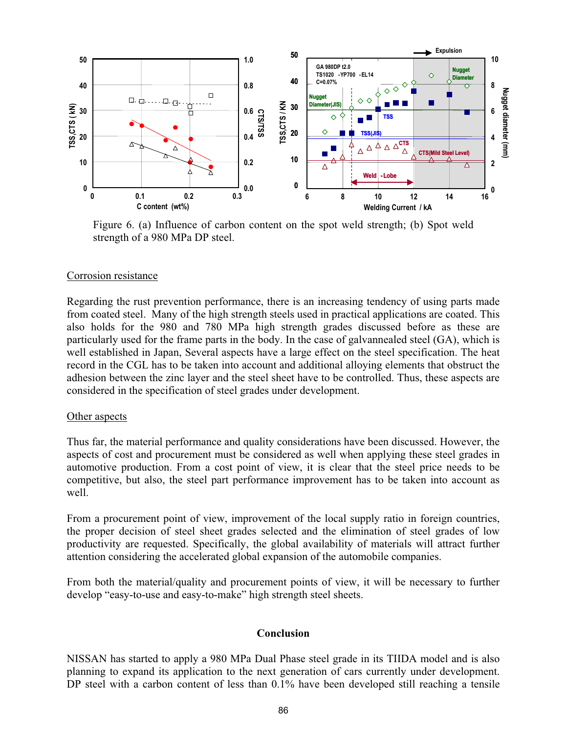

Figure 6. (a) Influence of carbon content on the spot weld strength; (b) Spot weld strength of a 980 MPa DP steel.

### Corrosion resistance

Regarding the rust prevention performance, there is an increasing tendency of using parts made from coated steel. Many of the high strength steels used in practical applications are coated. This also holds for the 980 and 780 MPa high strength grades discussed before as these are particularly used for the frame parts in the body. In the case of galvannealed steel (GA), which is well established in Japan, Several aspects have a large effect on the steel specification. The heat record in the CGL has to be taken into account and additional alloying elements that obstruct the adhesion between the zinc layer and the steel sheet have to be controlled. Thus, these aspects are considered in the specification of steel grades under development.

### Other aspects

Thus far, the material performance and quality considerations have been discussed. However, the aspects of cost and procurement must be considered as well when applying these steel grades in automotive production. From a cost point of view, it is clear that the steel price needs to be competitive, but also, the steel part performance improvement has to be taken into account as well.

From a procurement point of view, improvement of the local supply ratio in foreign countries, the proper decision of steel sheet grades selected and the elimination of steel grades of low productivity are requested. Specifically, the global availability of materials will attract further attention considering the accelerated global expansion of the automobile companies.

From both the material/quality and procurement points of view, it will be necessary to further develop "easy-to-use and easy-to-make" high strength steel sheets.

#### **Conclusion**

NISSAN has started to apply a 980 MPa Dual Phase steel grade in its TIIDA model and is also planning to expand its application to the next generation of cars currently under development. DP steel with a carbon content of less than  $0.1\%$  have been developed still reaching a tensile